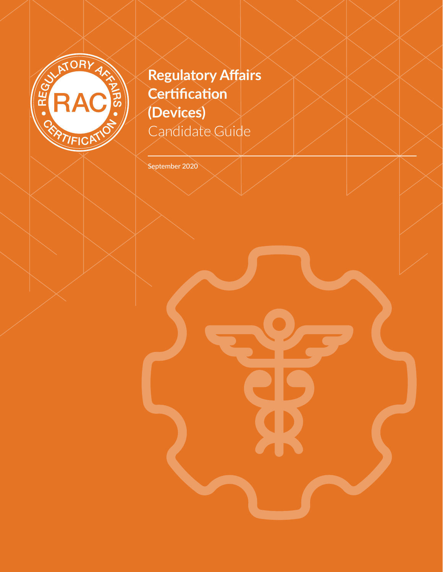

# **Regulatory Affairs Certification (Devices)** Candidate Guide

September 2020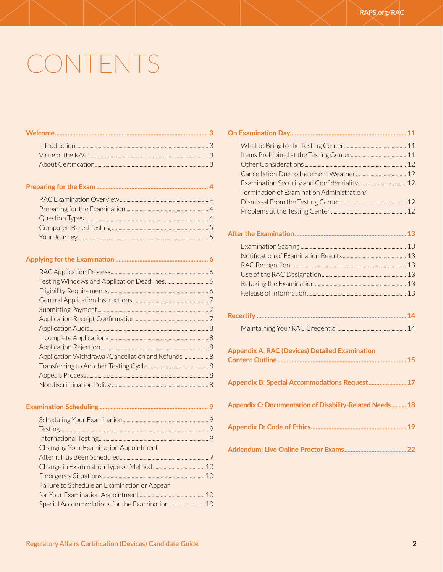# CONTENTS

|--|--|--|--|

| Application Withdrawal/Cancellation and Refunds 8 |  |
|---------------------------------------------------|--|
|                                                   |  |
|                                                   |  |
|                                                   |  |
|                                                   |  |

#### **Examination Scheduling [....................................................................](#page-8-0) 9** [Scheduling Your Examination.................................................................](#page-8-0) 9 [Testing................................................................................................................](#page-8-0) 9 [International Testing...................................................................................](#page-8-0) 9 [Changing Your Examination Appointment](#page-8-0)  [After it Has Been Scheduled...................................................................](#page-8-0) 9 [Change in Examination Type or Method.......................................10](#page-9-0) Emergency Situations [.............................................................................](#page-9-0) 10 [Failure to Schedule an Examination or Appear](#page-9-0)  [for Your Examination Appointment.................................................](#page-9-0) 10 [Special Accommodations for the Examination...........................10](#page-9-0)

| Termination of Examination Administration/               |
|----------------------------------------------------------|
|                                                          |
|                                                          |
|                                                          |
|                                                          |
|                                                          |
|                                                          |
|                                                          |
|                                                          |
|                                                          |
|                                                          |
|                                                          |
|                                                          |
| <b>Appendix A: RAC (Devices) Detailed Examination</b>    |
| Appendix B: Special Accommodations Request 17            |
| Appendix C: Documentation of Disability-Related Needs 18 |
|                                                          |
|                                                          |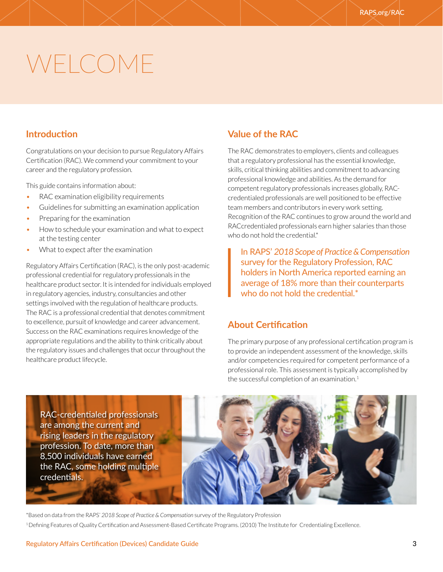# <span id="page-2-0"></span>WELCOME

#### **Introduction**

Congratulations on your decision to pursue Regulatory Affairs Certification (RAC). We commend your commitment to your career and the regulatory profession.

This guide contains information about:

- RAC examination eligibility requirements
- Guidelines for submitting an examination application
- Preparing for the examination
- How to schedule your examination and what to expect at the testing center
- What to expect after the examination

Regulatory Affairs Certification (RAC), is the only post-academic professional credential for regulatory professionals in the healthcare product sector. It is intended for individuals employed in regulatory agencies, industry, consultancies and other settings involved with the regulation of healthcare products. The RAC is a professional credential that denotes commitment to excellence, pursuit of knowledge and career advancement. Success on the RAC examinations requires knowledge of the appropriate regulations and the ability to think critically about the regulatory issues and challenges that occur throughout the healthcare product lifecycle.

# **Value of the RAC**

The RAC demonstrates to employers, clients and colleagues that a regulatory professional has the essential knowledge, skills, critical thinking abilities and commitment to advancing professional knowledge and abilities. As the demand for competent regulatory professionals increases globally, RACcredentialed professionals are well positioned to be effective team members and contributors in every work setting. Recognition of the RAC continues to grow around the world and RACcredentialed professionals earn higher salaries than those who do not hold the credential.\*

In RAPS' *2018 Scope of Practice & Compensation* survey for the Regulatory Profession, RAC holders in North America reported earning an average of 18% more than their counterparts who do not hold the credential.<sup>\*</sup>

### **About Certification**

The primary purpose of any professional certification program is to provide an independent assessment of the knowledge, skills and/or competencies required for competent performance of a professional role. This assessment is typically accomplished by the successful completion of an examination.<sup>1</sup>

RAC-credentialed professionals are among the current and rising leaders in the regulatory profession. To date, more than 8,500 individuals have earned the RAC, some holding multiple credentials.

\*Based on data from the RAPS' *2018 Scope of Practice & Compensation* survey of the Regulatory Profession 1 Defining Features of Quality Certification and Assessment-Based Certificate Programs. (2010) The Institute for Credentialing Excellence.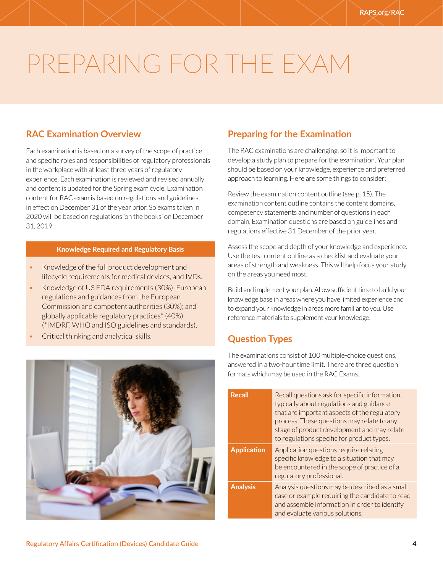# <span id="page-3-0"></span>PREPARING FOR THE EXAM

### **RAC Examination Overview**

Each examination is based on a survey of the scope of practice and specific roles and responsibilities of regulatory professionals in the workplace with at least three years of regulatory experience. Each examination is reviewed and revised annually and content is updated for the Spring exam cycle. Examination content for RAC exam is based on regulations and guidelines in effect on December 31 of the year prior. So exams taken in 2020 will be based on regulations 'on the books' on December 31, 2019.

#### **Knowledge Required and Regulatory Basis**

- Knowledge of the full product development and lifecycle requirements for medical devices, and IVDs.
- Knowledge of US FDA requirements (30%); European regulations and guidances from the European Commission and competent authorities (30%); and globally applicable regulatory practices\* (40%). (\*IMDRF, WHO and ISO guidelines and standards).
- Critical thinking and analytical skills.



### **Preparing for the Examination**

The RAC examinations are challenging, so it is important to develop a study plan to prepare for the examination. Your plan should be based on your knowledge, experience and preferred approach to learning. Here are some things to consider:

Review the examination content outline (see p. 15). The examination content outline contains the content domains, competency statements and number of questions in each domain. Examination questions are based on guidelines and regulations effective 31 December of the prior year.

Assess the scope and depth of your knowledge and experience. Use the test content outline as a checklist and evaluate your areas of strength and weakness. This will help focus your study on the areas you need most.

Build and implement your plan. Allow sufficient time to build your knowledge base in areas where you have limited experience and to expand your knowledge in areas more familiar to you. Use reference materials to supplement your knowledge.

#### **Question Types**

The examinations consist of 100 multiple-choice questions, answered in a two-hour time limit. There are three question formats which may be used in the RAC Exams.

| <b>Recall</b>      | Recall questions ask for specific information,<br>typically about regulations and guidance<br>that are important aspects of the regulatory<br>process. These questions may relate to any<br>stage of product development and may relate<br>to regulations specific for product types. |
|--------------------|---------------------------------------------------------------------------------------------------------------------------------------------------------------------------------------------------------------------------------------------------------------------------------------|
| <b>Application</b> | Application questions require relating<br>specific knowledge to a situation that may<br>be encountered in the scope of practice of a<br>regulatory professional.                                                                                                                      |
| <b>Analysis</b>    | Analysis questions may be described as a small<br>case or example requiring the candidate to read<br>and assemble information in order to identify<br>and evaluate various solutions.                                                                                                 |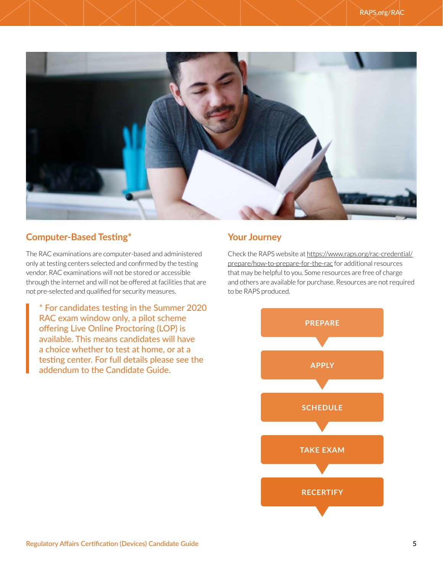<span id="page-4-0"></span>

# **Computer-Based Testing\***

The RAC examinations are computer-based and administered only at testing centers selected and confirmed by the testing vendor. RAC examinations will not be stored or accessible through the internet and will not be offered at facilities that are not pre-selected and qualified for security measures.

\* For candidates testing in the Summer 2020 RAC exam window only, a pilot scheme offering Live Online Proctoring (LOP) is available. This means candidates will have a choice whether to test at home, or at a testing center. For full details please see the addendum to the Candidate Guide.

# **Your Journey**

Check the RAPS website at [https://www.raps.org/rac-credential/](https://www.raps.org/rac-credential/prepare/how-to-prepare-for-the-rac) [prepare/how-to-prepare-for-the-rac](https://www.raps.org/rac-credential/prepare/how-to-prepare-for-the-rac) for additional resources that may be helpful to you. Some resources are free of charge and others are available for purchase. Resources are not required to be RAPS produced.

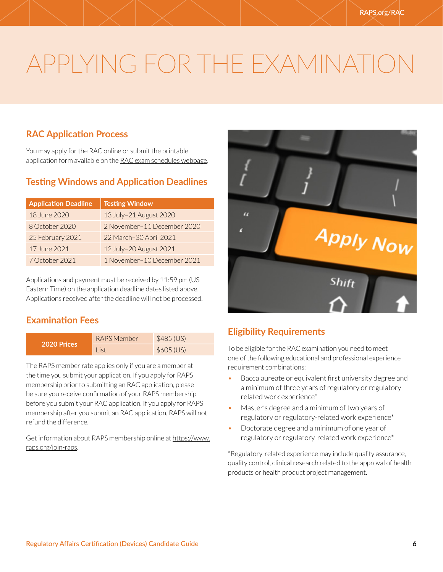# <span id="page-5-0"></span>APPLYING FOR THE EXAMINATIO

# **RAC Application Process**

You may apply for the RAC online or submit the printable application form available on the [RAC exam schedules webpage](https://www.raps.org/rac-credential/applyrac/how-to-apply-for-the-rac).

# **Testing Windows and Application Deadlines**

| <b>Application Deadline</b> | <b>Testing Window</b>       |
|-----------------------------|-----------------------------|
| 18 June 2020                | 13 July-21 August 2020      |
| 8 October 2020              | 2 November-11 December 2020 |
| 25 February 2021            | 22 March-30 April 2021      |
| 17 June 2021                | 12 July-20 August 2021      |
| 7 October 2021              | 1 November-10 December 2021 |

Applications and payment must be received by 11:59 pm (US Eastern Time) on the application deadline dates listed above. Applications received after the deadline will not be processed.

# **Examination Fees**

| 2020 Prices | RAPS Member | \$485 (US) |
|-------------|-------------|------------|
|             | l ist       | \$605 (US) |

The RAPS member rate applies only if you are a member at the time you submit your application. If you apply for RAPS membership prior to submitting an RAC application, please be sure you receive confirmation of your RAPS membership before you submit your RAC application. If you apply for RAPS membership after you submit an RAC application, RAPS will not refund the difference.

Get information about RAPS membership online at [https://www.](https://www.raps.org/join-raps) [raps.org/join-raps.](https://www.raps.org/join-raps)



# **Eligibility Requirements**

To be eligible for the RAC examination you need to meet one of the following educational and professional experience requirement combinations:

- Baccalaureate or equivalent first university degree and a minimum of three years of regulatory or regulatoryrelated work experience\*
- Master's degree and a minimum of two years of regulatory or regulatory-related work experience\*
- Doctorate degree and a minimum of one year of regulatory or regulatory-related work experience\*

\*Regulatory-related experience may include quality assurance, quality control, clinical research related to the approval of health products or health product project management.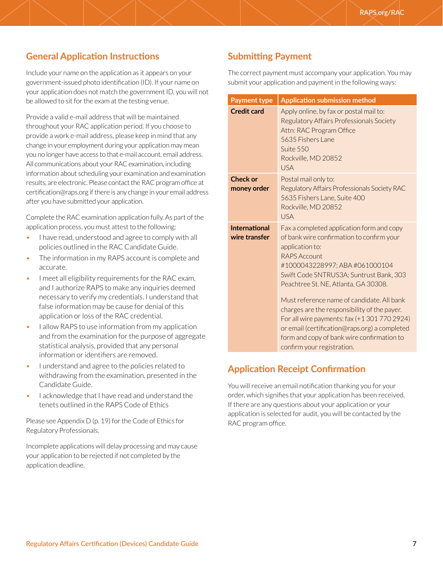# <span id="page-6-0"></span>**General Application Instructions**

Include your name on the application as it appears on your government-issued photo identification (ID). If your name on your application does not match the government ID, you will not be allowed to sit for the exam at the testing venue.

Provide a valid e-mail address that will be maintained throughout your RAC application period. If you choose to provide a work e-mail address, please keep in mind that any change in your employment during your application may mean you no longer have access to that e-mail account. email address. All communications about your RAC examination, including information about scheduling your examination and examination results, are electronic. Please contact the RAC program office at certification@raps.org if there is any change in your email address after you have submitted your application.

Complete the RAC examination application fully. As part of the application process, you must attest to the following:

- I have read, understood and agree to comply with all policies outlined in the RAC Candidate Guide.
- The information in my RAPS account is complete and accurate.
- I meet all eligibility requirements for the RAC exam, and I authorize RAPS to make any inquiries deemed necessary to verify my credentials. I understand that false information may be cause for denial of this application or loss of the RAC credential.
- I allow RAPS to use information from my application and from the examination for the purpose of aggregate statistical analysis, provided that any personal information or identifiers are removed.
- I understand and agree to the policies related to withdrawing from the examination, presented in the Candidate Guide.
- I acknowledge that I have read and understand the tenets outlined in the RAPS Code of Ethics

Please see Appendix D (p. 19) for the Code of Ethics for Regulatory Professionals.

Incomplete applications will delay processing and may cause your application to be rejected if not completed by the application deadline.

# **Submitting Payment**

The correct payment must accompany your application. You may submit your application and payment in the following ways:

| <b>Payment type</b>                   | <b>Application submission method</b>                                                                                                                                                                                                                                                                                                                                                                                                                                                                                          |  |  |  |
|---------------------------------------|-------------------------------------------------------------------------------------------------------------------------------------------------------------------------------------------------------------------------------------------------------------------------------------------------------------------------------------------------------------------------------------------------------------------------------------------------------------------------------------------------------------------------------|--|--|--|
| <b>Credit card</b>                    | Apply online, by fax or postal mail to:<br>Regulatory Affairs Professionals Society<br>Attn: RAC Program Office<br>5635 Fishers Lane<br>Suite 550<br>Rockville, MD 20852<br><b>USA</b>                                                                                                                                                                                                                                                                                                                                        |  |  |  |
| <b>Check or</b><br>money order        | Postal mail only to:<br>Regulatory Affairs Professionals Society RAC<br>5635 Fishers Lane, Suite 400<br>Rockville, MD 20852<br><b>USA</b>                                                                                                                                                                                                                                                                                                                                                                                     |  |  |  |
| <b>International</b><br>wire transfer | Fax a completed application form and copy<br>of bank wire confirmation to confirm your<br>application to:<br><b>RAPS Account</b><br>#1000043228997; ABA #061000104<br>Swift Code SNTRUS3A; Suntrust Bank, 303<br>Peachtree St. NE, Atlanta, GA 30308.<br>Must reference name of candidate. All bank<br>charges are the responsibility of the payer.<br>For all wire payments: fax (+13017702924)<br>or email (certification@raps.org) a completed<br>form and copy of bank wire confirmation to<br>confirm your registration. |  |  |  |

# **Application Receipt Confirmation**

You will receive an email notification thanking you for your order, which signifies that your application has been received. If there are any questions about your application or your application is selected for audit, you will be contacted by the RAC program office.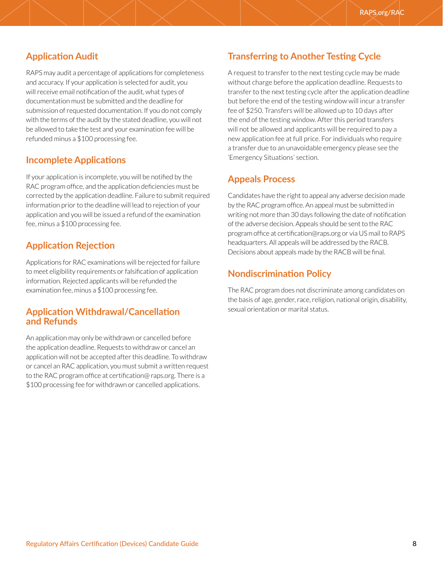# <span id="page-7-0"></span>**Application Audit**

RAPS may audit a percentage of applications for completeness and accuracy. If your application is selected for audit, you will receive email notification of the audit, what types of documentation must be submitted and the deadline for submission of requested documentation. If you do not comply with the terms of the audit by the stated deadline, you will not be allowed to take the test and your examination fee will be refunded minus a \$100 processing fee.

#### **Incomplete Applications**

If your application is incomplete, you will be notified by the RAC program office, and the application deficiencies must be corrected by the application deadline. Failure to submit required information prior to the deadline will lead to rejection of your application and you will be issued a refund of the examination fee, minus a \$100 processing fee.

### **Application Rejection**

Applications for RAC examinations will be rejected for failure to meet eligibility requirements or falsification of application information. Rejected applicants will be refunded the examination fee, minus a \$100 processing fee.

#### **Application Withdrawal/Cancellation and Refunds**

An application may only be withdrawn or cancelled before the application deadline. Requests to withdraw or cancel an application will not be accepted after this deadline. To withdraw or cancel an RAC application, you must submit a written request to the RAC program office at certification@ raps.org. There is a \$100 processing fee for withdrawn or cancelled applications.

# **Transferring to Another Testing Cycle**

A request to transfer to the next testing cycle may be made without charge before the application deadline. Requests to transfer to the next testing cycle after the application deadline but before the end of the testing window will incur a transfer fee of \$250. Transfers will be allowed up to 10 days after the end of the testing window. After this period transfers will not be allowed and applicants will be required to pay a new application fee at full price. For individuals who require a transfer due to an unavoidable emergency please see the 'Emergency Situations' section.

### **Appeals Process**

Candidates have the right to appeal any adverse decision made by the RAC program office. An appeal must be submitted in writing not more than 30 days following the date of notification of the adverse decision. Appeals should be sent to the RAC program office at certification@raps.org or via US mail to RAPS headquarters. All appeals will be addressed by the RACB. Decisions about appeals made by the RACB will be final.

### **Nondiscrimination Policy**

The RAC program does not discriminate among candidates on the basis of age, gender, race, religion, national origin, disability, sexual orientation or marital status.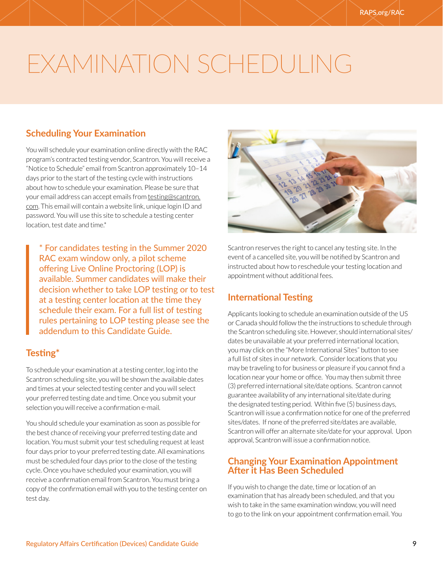# <span id="page-8-0"></span>EXAMINATION SCHEDULING

# **Scheduling Your Examination**

You will schedule your examination online directly with the RAC program's contracted testing vendor, Scantron. You will receive a "Notice to Schedule" email from Scantron approximately 10–14 days prior to the start of the testing cycle with instructions about how to schedule your examination. Please be sure that your email address can accept emails from [testing@scantron.](mailto:testing@scantron.com) [com](mailto:testing@scantron.com). This email will contain a website link, unique login ID and password. You will use this site to schedule a testing center location, test date and time.\*

\* For candidates testing in the Summer 2020 RAC exam window only, a pilot scheme offering Live Online Proctoring (LOP) is available. Summer candidates will make their decision whether to take LOP testing or to test at a testing center location at the time they schedule their exam. For a full list of testing rules pertaining to LOP testing please see the addendum to this Candidate Guide.

# **Testing\***

To schedule your examination at a testing center, log into the Scantron scheduling site, you will be shown the available dates and times at your selected testing center and you will select your preferred testing date and time. Once you submit your selection you will receive a confirmation e-mail.

You should schedule your examination as soon as possible for the best chance of receiving your preferred testing date and location. You must submit your test scheduling request at least four days prior to your preferred testing date. All examinations must be scheduled four days prior to the close of the testing cycle. Once you have scheduled your examination, you will receive a confirmation email from Scantron. You must bring a copy of the confirmation email with you to the testing center on test day.



Scantron reserves the right to cancel any testing site. In the event of a cancelled site, you will be notified by Scantron and instructed about how to reschedule your testing location and appointment without additional fees.

# **International Testing**

Applicants looking to schedule an examination outside of the US or Canada should follow the the instructions to schedule through the Scantron scheduling site. However, should international sites/ dates be unavailable at your preferred international location, you may click on the "More International Sites" button to see a full list of sites in our network. Consider locations that you may be traveling to for business or pleasure if you cannot find a location near your home or office. You may then submit three (3) preferred international site/date options. Scantron cannot guarantee availability of any international site/date during the designated testing period. Within five (5) business days, Scantron will issue a confirmation notice for one of the preferred sites/dates. If none of the preferred site/dates are available, Scantron will offer an alternate site/date for your approval. Upon approval, Scantron will issue a confirmation notice.

### **Changing Your Examination Appointment After it Has Been Scheduled**

If you wish to change the date, time or location of an examination that has already been scheduled, and that you wish to take in the same examination window, you will need to go to the link on your appointment confirmation email. You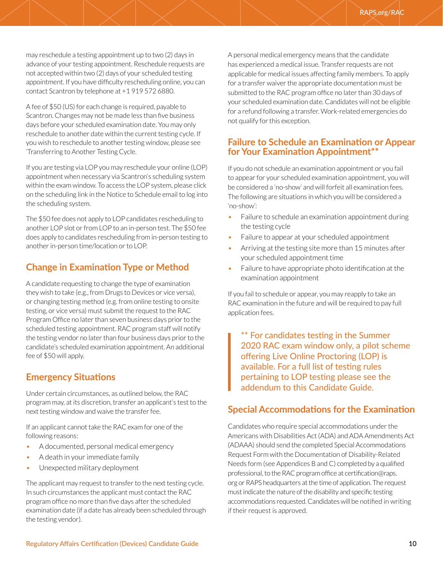<span id="page-9-0"></span>may reschedule a testing appointment up to two (2) days in advance of your testing appointment. Reschedule requests are not accepted within two (2) days of your scheduled testing appointment. If you have difficulty rescheduling online, you can contact Scantron by telephone at +1 919 572 6880.

A fee of \$50 (US) for each change is required, payable to Scantron. Changes may not be made less than five business days before your scheduled examination date. You may only reschedule to another date within the current testing cycle. If you wish to reschedule to another testing window, please see 'Transferring to Another Testing Cycle.

If you are testing via LOP you may reschedule your online (LOP) appointment when necessary via Scantron's scheduling system within the exam window. To access the LOP system, please click on the scheduling link in the Notice to Schedule email to log into the scheduling system.

The \$50 fee does not apply to LOP candidates rescheduling to another LOP slot or from LOP to an in-person test. The \$50 fee does apply to candidates rescheduling from in-person testing to another in-person time/location or to LOP.

# **Change in Examination Type or Method**

A candidate requesting to change the type of examination they wish to take (e.g., from Drugs to Devices or vice versa), or changing testing method (e.g. from online testing to onsite testing, or vice versa) must submit the request to the RAC Program Office no later than seven business days prior to the scheduled testing appointment. RAC program staff will notify the testing vendor no later than four business days prior to the candidate's scheduled examination appointment. An additional fee of \$50 will apply.

#### **Emergency Situations**

Under certain circumstances, as outlined below, the RAC program may, at its discretion, transfer an applicant's test to the next testing window and waive the transfer fee.

If an applicant cannot take the RAC exam for one of the following reasons:

- A documented, personal medical emergency
- A death in your immediate family
- Unexpected military deployment

The applicant may request to transfer to the next testing cycle. In such circumstances the applicant must contact the RAC program office no more than five days after the scheduled examination date (if a date has already been scheduled through the testing vendor).

A personal medical emergency means that the candidate has experienced a medical issue. Transfer requests are not applicable for medical issues affecting family members. To apply for a transfer waiver the appropriate documentation must be submitted to the RAC program office no later than 30 days of your scheduled examination date. Candidates will not be eligible for a refund following a transfer. Work-related emergencies do not qualify for this exception.

#### **Failure to Schedule an Examination or Appear for Your Examination Appointment\*\***

If you do not schedule an examination appointment or you fail to appear for your scheduled examination appointment, you will be considered a 'no-show' and will forfeit all examination fees. The following are situations in which you will be considered a 'no-show':

- Failure to schedule an examination appointment during the testing cycle
- Failure to appear at your scheduled appointment
- Arriving at the testing site more than 15 minutes after your scheduled appointment time
- Failure to have appropriate photo identification at the examination appointment

If you fail to schedule or appear, you may reapply to take an RAC examination in the future and will be required to pay full application fees.

\*\* For candidates testing in the Summer 2020 RAC exam window only, a pilot scheme offering Live Online Proctoring (LOP) is available. For a full list of testing rules pertaining to LOP testing please see the addendum to this Candidate Guide.

#### **Special Accommodations for the Examination**

Candidates who require special accommodations under the Americans with Disabilities Act (ADA) and ADA Amendments Act (ADAAA) should send the completed Special Accommodations Request Form with the Documentation of Disability-Related Needs form (see Appendices B and C) completed by a qualified professional, to the RAC program office at certification@raps. org or RAPS headquarters at the time of application. The request must indicate the nature of the disability and specific testing accommodations requested. Candidates will be notified in writing if their request is approved.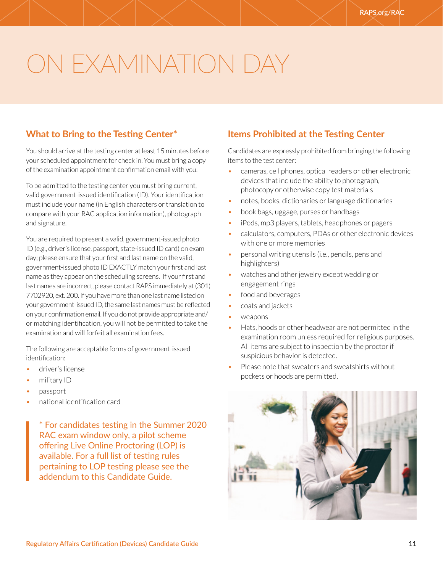# <span id="page-10-0"></span>ON EXAMINATION DAY

# **What to Bring to the Testing Center\***

You should arrive at the testing center at least 15 minutes before your scheduled appointment for check in. You must bring a copy of the examination appointment confirmation email with you.

To be admitted to the testing center you must bring current, valid government-issued identification (ID). Your identification must include your name (in English characters or translation to compare with your RAC application information), photograph and signature.

You are required to present a valid, government-issued photo ID (e.g., driver's license, passport, state-issued ID card) on exam day; please ensure that your first and last name on the valid, government-issued photo ID EXACTLY match your first and last name as they appear on the scheduling screens. If your first and last names are incorrect, please contact RAPS immediately at (301) 7702920, ext. 200. If you have more than one last name listed on your government-issued ID, the same last names must be reflected on your confirmation email. If you do not provide appropriate and/ or matching identification, you will not be permitted to take the examination and will forfeit all examination fees.

The following are acceptable forms of government-issued identification:

- driver's license
- military ID
- passport
- national identification card

\* For candidates testing in the Summer 2020 RAC exam window only, a pilot scheme offering Live Online Proctoring (LOP) is available. For a full list of testing rules pertaining to LOP testing please see the addendum to this Candidate Guide.

# **Items Prohibited at the Testing Center**

Candidates are expressly prohibited from bringing the following items to the test center:

- cameras, cell phones, optical readers or other electronic devices that include the ability to photograph, photocopy or otherwise copy test materials
- notes, books, dictionaries or language dictionaries
- book bags,luggage, purses or handbags
- iPods, mp3 players, tablets, headphones or pagers
- calculators, computers, PDAs or other electronic devices with one or more memories
- personal writing utensils (i.e., pencils, pens and highlighters)
- watches and other jewelry except wedding or engagement rings
- food and beverages
- coats and jackets
- weapons
- Hats, hoods or other headwear are not permitted in the examination room unless required for religious purposes. All items are subject to inspection by the proctor if suspicious behavior is detected.
- Please note that sweaters and sweatshirts without pockets or hoods are permitted.

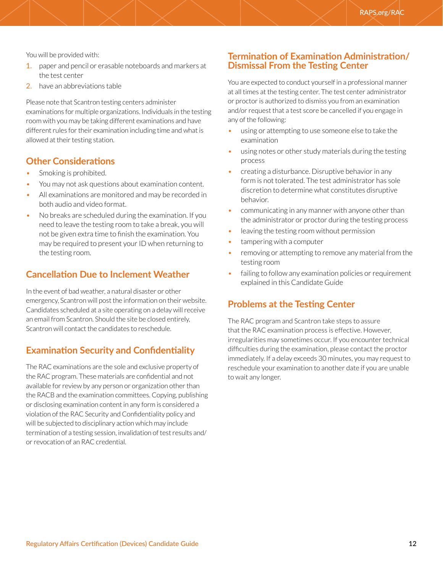<span id="page-11-0"></span>You will be provided with:

- 1. paper and pencil or erasable noteboards and markers at the test center
- 2. have an abbreviations table

Please note that Scantron testing centers administer examinations for multiple organizations. Individuals in the testing room with you may be taking different examinations and have different rules for their examination including time and what is allowed at their testing station.

#### **Other Considerations**

- Smoking is prohibited.
- You may not ask questions about examination content.
- All examinations are monitored and may be recorded in both audio and video format.
- No breaks are scheduled during the examination. If you need to leave the testing room to take a break, you will not be given extra time to finish the examination. You may be required to present your ID when returning to the testing room.

#### **Cancellation Due to Inclement Weather**

In the event of bad weather, a natural disaster or other emergency, Scantron will post the information on their website. Candidates scheduled at a site operating on a delay will receive an email from Scantron. Should the site be closed entirely, Scantron will contact the candidates to reschedule.

#### **Examination Security and Confidentiality**

The RAC examinations are the sole and exclusive property of the RAC program. These materials are confidential and not available for review by any person or organization other than the RACB and the examination committees. Copying, publishing or disclosing examination content in any form is considered a violation of the RAC Security and Confidentiality policy and will be subjected to disciplinary action which may include termination of a testing session, invalidation of test results and/ or revocation of an RAC credential.

#### **Termination of Examination Administration/ Dismissal From the Testing Center**

You are expected to conduct yourself in a professional manner at all times at the testing center. The test center administrator or proctor is authorized to dismiss you from an examination and/or request that a test score be cancelled if you engage in any of the following:

- using or attempting to use someone else to take the examination
- using notes or other study materials during the testing process
- creating a disturbance. Disruptive behavior in any form is not tolerated. The test administrator has sole discretion to determine what constitutes disruptive behavior.
- communicating in any manner with anyone other than the administrator or proctor during the testing process
- leaving the testing room without permission
- tampering with a computer
- removing or attempting to remove any material from the testing room
- failing to follow any examination policies or requirement explained in this Candidate Guide

#### **Problems at the Testing Center**

The RAC program and Scantron take steps to assure that the RAC examination process is effective. However, irregularities may sometimes occur. If you encounter technical difficulties during the examination, please contact the proctor immediately. If a delay exceeds 30 minutes, you may request to reschedule your examination to another date if you are unable to wait any longer.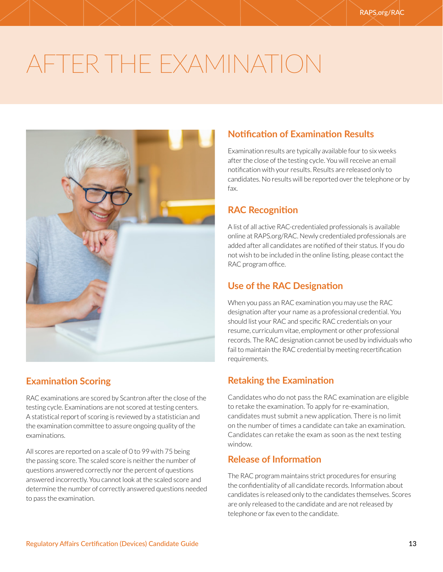# <span id="page-12-0"></span>AFTER THE EXAMINATION



# **Examination Scoring**

RAC examinations are scored by Scantron after the close of the testing cycle. Examinations are not scored at testing centers. A statistical report of scoring is reviewed by a statistician and the examination committee to assure ongoing quality of the examinations.

All scores are reported on a scale of 0 to 99 with 75 being the passing score. The scaled score is neither the number of questions answered correctly nor the percent of questions answered incorrectly. You cannot look at the scaled score and determine the number of correctly answered questions needed to pass the examination.

# **Notification of Examination Results**

Examination results are typically available four to six weeks after the close of the testing cycle. You will receive an email notification with your results. Results are released only to candidates. No results will be reported over the telephone or by fax.

### **RAC Recognition**

A list of all active RAC-credentialed professionals is available online at RAPS.org/RAC. Newly credentialed professionals are added after all candidates are notified of their status. If you do not wish to be included in the online listing, please contact the RAC program office.

### **Use of the RAC Designation**

When you pass an RAC examination you may use the RAC designation after your name as a professional credential. You should list your RAC and specific RAC credentials on your resume, curriculum vitae, employment or other professional records. The RAC designation cannot be used by individuals who fail to maintain the RAC credential by meeting recertification requirements.

# **Retaking the Examination**

Candidates who do not pass the RAC examination are eligible to retake the examination. To apply for re-examination, candidates must submit a new application. There is no limit on the number of times a candidate can take an examination. Candidates can retake the exam as soon as the next testing window.

### **Release of Information**

The RAC program maintains strict procedures for ensuring the confidentiality of all candidate records. Information about candidates is released only to the candidates themselves. Scores are only released to the candidate and are not released by telephone or fax even to the candidate.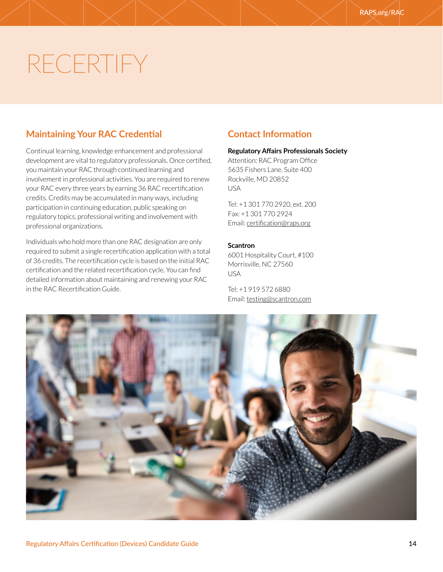# <span id="page-13-0"></span>RECERTIFY

# **Maintaining Your RAC Credential**

Continual learning, knowledge enhancement and professional development are vital to regulatory professionals. Once certified, you maintain your RAC through continued learning and involvement in professional activities. You are required to renew your RAC every three years by earning 36 RAC recertification credits. Credits may be accumulated in many ways, including participation in continuing education, public speaking on regulatory topics, professional writing and involvement with professional organizations.

Individuals who hold more than one RAC designation are only required to submit a single recertification application with a total of 36 credits. The recertification cycle is based on the initial RAC certification and the related recertification cycle. You can find detailed information about maintaining and renewing your RAC in the RAC Recertification Guide.

# **Contact Information**

#### **Regulatory Affairs Professionals Society**

Attention: RAC Program Office 5635 Fishers Lane, Suite 400 Rockville, MD 20852 USA

Tel: +1 301 770 2920, ext. 200 Fax: +1 301 770 2924 Email: [certification@raps.org](mailto:certification@raps.org)

#### **Scantron**

6001 Hospitality Court, #100 Morrisville, NC 27560 USA

Tel: +1 919 572 6880 Email: [testing@scantron.com](mailto:testing@scantron.com)

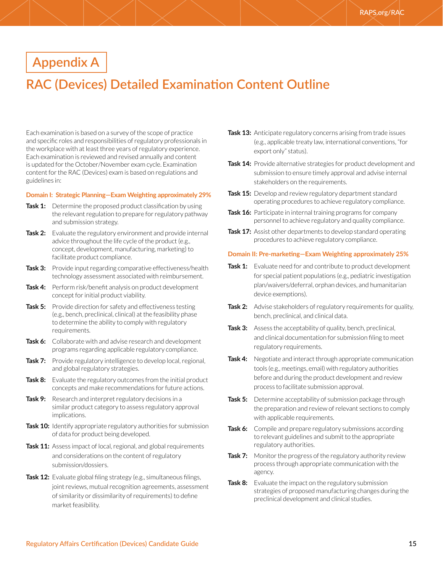# <span id="page-14-0"></span>**Appendix A**

# **RAC (Devices) Detailed Examination Content Outline**

Each examination is based on a survey of the scope of practice and specific roles and responsibilities of regulatory professionals in the workplace with at least three years of regulatory experience. Each examination is reviewed and revised annually and content is updated for the October/November exam cycle. Examination content for the RAC (Devices) exam is based on regulations and guidelines in:

#### **Domain I: Strategic Planning—Exam Weighting approximately 29%**

- **Task 1:** Determine the proposed product classification by using the relevant regulation to prepare for regulatory pathway and submission strategy.
- **Task 2:** Evaluate the regulatory environment and provide internal advice throughout the life cycle of the product (e.g., concept, development, manufacturing, marketing) to facilitate product compliance.
- **Task 3:** Provide input regarding comparative effectiveness/health technology assessment associated with reimbursement.
- **Task 4:** Perform risk/benefit analysis on product development concept for initial product viability.
- **Task 5:** Provide direction for safety and effectiveness testing (e.g., bench, preclinical, clinical) at the feasibility phase to determine the ability to comply with regulatory requirements.
- **Task 6:** Collaborate with and advise research and development programs regarding applicable regulatory compliance.
- **Task 7:** Provide regulatory intelligence to develop local, regional, and global regulatory strategies.
- **Task 8:** Evaluate the regulatory outcomes from the initial product concepts and make recommendations for future actions.
- **Task 9:** Research and interpret regulatory decisions in a similar product category to assess regulatory approval implications.
- **Task 10:** Identify appropriate regulatory authorities for submission of data for product being developed.
- **Task 11:** Assess impact of local, regional, and global requirements and considerations on the content of regulatory submission/dossiers.
- **Task 12:** Evaluate global filing strategy (e.g., simultaneous filings, joint reviews, mutual recognition agreements, assessment of similarity or dissimilarity of requirements) to define market feasibility.
- **Task 13:** Anticipate regulatory concerns arising from trade issues (e.g., applicable treaty law, international conventions, "for export only" status).
- **Task 14:** Provide alternative strategies for product development and submission to ensure timely approval and advise internal stakeholders on the requirements.
- **Task 15:** Develop and review regulatory department standard operating procedures to achieve regulatory compliance.
- **Task 16:** Participate in internal training programs for company personnel to achieve regulatory and quality compliance.
- **Task 17:** Assist other departments to develop standard operating procedures to achieve regulatory compliance.

#### **Domain II: Pre-marketing—Exam Weighting approximately 25%**

- **Task 1:** Evaluate need for and contribute to product development for special patient populations (e.g., pediatric investigation plan/waivers/deferral, orphan devices, and humanitarian device exemptions).
- **Task 2:** Advise stakeholders of regulatory requirements for quality, bench, preclinical, and clinical data.
- **Task 3:** Assess the acceptability of quality, bench, preclinical, and clinical documentation for submission filing to meet regulatory requirements.
- **Task 4:** Negotiate and interact through appropriate communication tools (e.g., meetings, email) with regulatory authorities before and during the product development and review process to facilitate submission approval.
- **Task 5:** Determine acceptability of submission package through the preparation and review of relevant sections to comply with applicable requirements.
- **Task 6:** Compile and prepare regulatory submissions according to relevant guidelines and submit to the appropriate regulatory authorities.
- **Task 7:** Monitor the progress of the regulatory authority review process through appropriate communication with the agency.
- **Task 8:** Evaluate the impact on the regulatory submission strategies of proposed manufacturing changes during the preclinical development and clinical studies.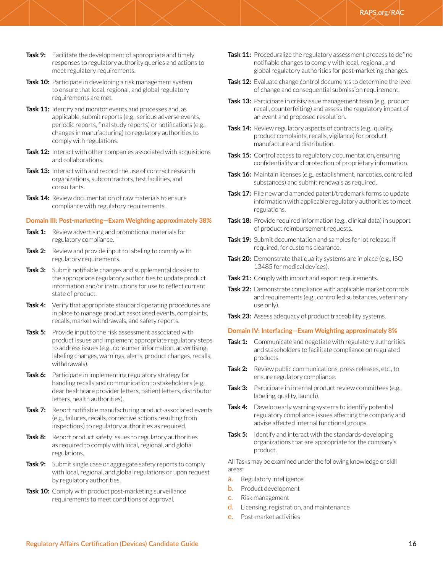- **Task 9:** Facilitate the development of appropriate and timely responses to regulatory authority queries and actions to meet regulatory requirements.
- **Task 10:** Participate in developing a risk management system to ensure that local, regional, and global regulatory requirements are met.
- **Task 11:** Identify and monitor events and processes and, as applicable, submit reports (e.g., serious adverse events, periodic reports, final study reports) or notifications (e.g., changes in manufacturing) to regulatory authorities to comply with regulations.
- **Task 12:** Interact with other companies associated with acquisitions and collaborations.
- **Task 13:** Interact with and record the use of contract research organizations, subcontractors, test facilities, and consultants.
- **Task 14:** Review documentation of raw materials to ensure compliance with regulatory requirements.

#### **Domain III: Post-marketing—Exam Weighting approximately 38%**

- **Task 1:** Review advertising and promotional materials for regulatory compliance.
- **Task 2:** Review and provide input to labeling to comply with regulatory requirements.
- **Task 3:** Submit notifiable changes and supplemental dossier to the appropriate regulatory authorities to update product information and/or instructions for use to reflect current state of product.
- **Task 4:** Verify that appropriate standard operating procedures are in place to manage product associated events, complaints, recalls, market withdrawals, and safety reports.
- **Task 5:** Provide input to the risk assessment associated with product issues and implement appropriate regulatory steps to address issues (e.g., consumer information, advertising, labeling changes, warnings, alerts, product changes, recalls, withdrawals).
- **Task 6:** Participate in implementing regulatory strategy for handling recalls and communication to stakeholders (e.g., dear healthcare provider letters, patient letters, distributor letters, health authorities).
- **Task 7:** Report notifiable manufacturing product-associated events (e.g., failures, recalls, corrective actions resulting from inspections) to regulatory authorities as required.
- **Task 8:** Report product safety issues to regulatory authorities as required to comply with local, regional, and global regulations.
- **Task 9:** Submit single case or aggregate safety reports to comply with local, regional, and global regulations or upon request by regulatory authorities.
- **Task 10:** Comply with product post-marketing surveillance requirements to meet conditions of approval.
- Task 11: Proceduralize the regulatory assessment process to define notifiable changes to comply with local, regional, and global regulatory authorities for post-marketing changes.
- **Task 12:** Evaluate change control documents to determine the level of change and consequential submission requirement.
- **Task 13:** Participate in crisis/issue management team (e.g., product recall, counterfeiting) and assess the regulatory impact of an event and proposed resolution.
- **Task 14:** Review regulatory aspects of contracts (e.g., quality, product complaints, recalls, vigilance) for product manufacture and distribution.
- **Task 15:** Control access to regulatory documentation, ensuring confidentiality and protection of proprietary information.
- **Task 16:** Maintain licenses (e.g., establishment, narcotics, controlled substances) and submit renewals as required.
- **Task 17:** File new and amended patent/trademark forms to update information with applicable regulatory authorities to meet regulations.
- **Task 18:** Provide required information (e.g., clinical data) in support of product reimbursement requests.
- **Task 19:** Submit documentation and samples for lot release, if required, for customs clearance.
- **Task 20:** Demonstrate that quality systems are in place (e.g., ISO 13485 for medical devices).
- Task 21: Comply with import and export requirements.
- **Task 22:** Demonstrate compliance with applicable market controls and requirements (e.g., controlled substances, veterinary use only).
- **Task 23:** Assess adequacy of product traceability systems.

#### **Domain IV: Interfacing—Exam Weighting approximately 8%**

- **Task 1:** Communicate and negotiate with regulatory authorities and stakeholders to facilitate compliance on regulated products.
- **Task 2:** Review public communications, press releases, etc., to ensure regulatory compliance.
- **Task 3:** Participate in internal product review committees (e.g., labeling, quality, launch).
- **Task 4:** Develop early warning systems to identify potential regulatory compliance issues affecting the company and advise affected internal functional groups.
- **Task 5:** Identify and interact with the standards-developing organizations that are appropriate for the company's product.

All Tasks may be examined under the following knowledge or skill areas:

- a. Regulatory intelligence
- **b.** Product development
- c. Risk management
- d. Licensing, registration, and maintenance
- e. Post-market activities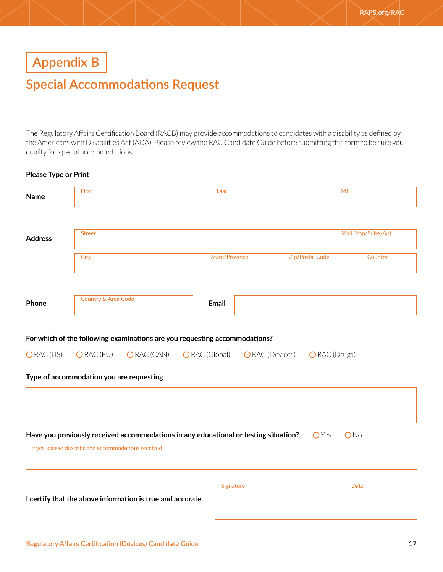<span id="page-16-0"></span>**Appendix B**

# **Special Accommodations Request**

The Regulatory Affairs Certification Board (RACB) may provide accommodations to candidates with a disability as defined by the Americans with Disabilities Act (ADA). Please review the RAC Candidate Guide before submitting this form to be sure you quality for special accommodations.

#### **Please Type or Print**

| <b>Name</b>          | First                                               |                                                                                      |               | Last                  |                        |                 | MI                  |
|----------------------|-----------------------------------------------------|--------------------------------------------------------------------------------------|---------------|-----------------------|------------------------|-----------------|---------------------|
| <b>Address</b>       | <b>Street</b>                                       |                                                                                      |               |                       |                        |                 | Mail Stop/Suite/Apt |
|                      | City                                                |                                                                                      |               | <b>State/Province</b> |                        | Zip/Postal Code | Country             |
| Phone                | Country & Area Code                                 |                                                                                      | <b>Email</b>  |                       |                        |                 |                     |
|                      |                                                     | For which of the following examinations are you requesting accommodations?           |               |                       |                        |                 |                     |
| ORAC <sub>(US)</sub> | ORAC (EU)                                           | ORAC (CAN)                                                                           | ORAC (Global) |                       | <b>O</b> RAC (Devices) | ORAC (Drugs)    |                     |
|                      | Type of accommodation you are requesting            |                                                                                      |               |                       |                        |                 |                     |
|                      |                                                     |                                                                                      |               |                       |                        |                 |                     |
|                      |                                                     | Have you previously received accommodations in any educational or testing situation? |               |                       |                        | <b>O</b> Yes    | ONo                 |
|                      | If yes, please describe the accommodations received |                                                                                      |               |                       |                        |                 |                     |
|                      |                                                     |                                                                                      |               | Signature             |                        |                 | <b>Date</b>         |
|                      |                                                     | I certify that the above information is true and accurate.                           |               |                       |                        |                 |                     |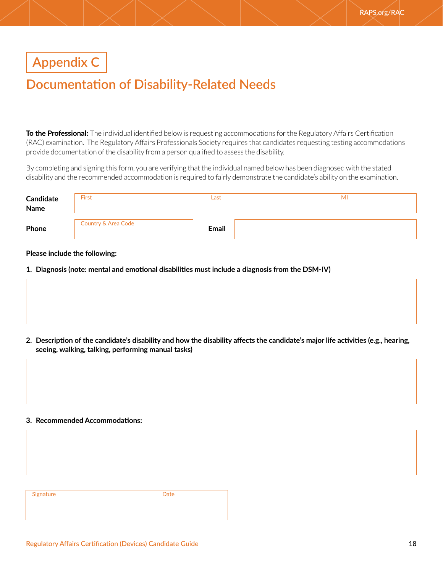# <span id="page-17-0"></span>**Appendix C**

# **Documentation of Disability-Related Needs**

**To the Professional:** The individual identified below is requesting accommodations for the Regulatory Affairs Certification (RAC) examination. The Regulatory Affairs Professionals Society requires that candidates requesting testing accommodations provide documentation of the disability from a person qualified to assess the disability.

By completing and signing this form, you are verifying that the individual named below has been diagnosed with the stated disability and the recommended accommodation is required to fairly demonstrate the candidate's ability on the examination.

| Candidate<br>Name | <b>First</b>                   | Last         | MI |
|-------------------|--------------------------------|--------------|----|
| Phone             | <b>Country &amp; Area Code</b> | <b>Email</b> |    |

#### **Please include the following:**

**1. Diagnosis (note: mental and emotional disabilities must include a diagnosis from the DSM-IV)**

**2. Description of the candidate's disability and how the disability affects the candidate's major life activities (e.g., hearing, seeing, walking, talking, performing manual tasks)**

#### **3. Recommended Accommodations:**

Signature **Date**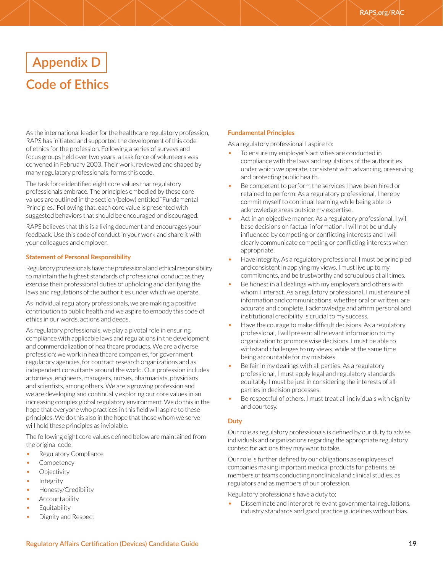# <span id="page-18-0"></span>**Appendix D Code of Ethics**

As the international leader for the healthcare regulatory profession, RAPS has initiated and supported the development of this code of ethics for the profession. Following a series of surveys and focus groups held over two years, a task force of volunteers was convened in February 2003. Their work, reviewed and shaped by many regulatory professionals, forms this code.

The task force identified eight core values that regulatory professionals embrace. The principles embodied by these core values are outlined in the section (below) entitled "Fundamental Principles." Following that, each core value is presented with suggested behaviors that should be encouraged or discouraged.

RAPS believes that this is a living document and encourages your feedback. Use this code of conduct in your work and share it with your colleagues and employer.

#### **Statement of Personal Responsibility**

Regulatory professionals have the professional and ethical responsibility to maintain the highest standards of professional conduct as they exercise their professional duties of upholding and clarifying the laws and regulations of the authorities under which we operate.

As individual regulatory professionals, we are making a positive contribution to public health and we aspire to embody this code of ethics in our words, actions and deeds.

As regulatory professionals, we play a pivotal role in ensuring compliance with applicable laws and regulations in the development and commercialization of healthcare products. We are a diverse profession: we work in healthcare companies, for government regulatory agencies, for contract research organizations and as independent consultants around the world. Our profession includes attorneys, engineers, managers, nurses, pharmacists, physicians and scientists, among others. We are a growing profession and we are developing and continually exploring our core values in an increasing complex global regulatory environment. We do this in the hope that everyone who practices in this field will aspire to these principles. We do this also in the hope that those whom we serve will hold these principles as inviolable.

The following eight core values defined below are maintained from the original code:

- Regulatory Compliance
- Competency
- **Objectivity**
- **Integrity**
- Honesty/Credibility
- Accountability
- Equitability
- Dignity and Respect

#### **Fundamental Principles**

As a regulatory professional I aspire to:

- To ensure my employer's activities are conducted in compliance with the laws and regulations of the authorities under which we operate, consistent with advancing, preserving and protecting public health.
- Be competent to perform the services I have been hired or retained to perform. As a regulatory professional, I hereby commit myself to continual learning while being able to acknowledge areas outside my expertise.
- Act in an objective manner. As a regulatory professional, I will base decisions on factual information. I will not be unduly influenced by competing or conflicting interests and I will clearly communicate competing or conflicting interests when appropriate.
- Have integrity. As a regulatory professional, I must be principled and consistent in applying my views. I must live up to my commitments, and be trustworthy and scrupulous at all times.
- Be honest in all dealings with my employers and others with whom I interact. As a regulatory professional, I must ensure all information and communications, whether oral or written, are accurate and complete. I acknowledge and affirm personal and institutional credibility is crucial to my success.
- Have the courage to make difficult decisions. As a regulatory professional, I will present all relevant information to my organization to promote wise decisions. I must be able to withstand challenges to my views, while at the same time being accountable for my mistakes.
- Be fair in my dealings with all parties. As a regulatory professional, I must apply legal and regulatory standards equitably. I must be just in considering the interests of all parties in decision processes.
- Be respectful of others. I must treat all individuals with dignity and courtesy.

#### **Duty**

Our role as regulatory professionals is defined by our duty to advise individuals and organizations regarding the appropriate regulatory context for actions they may want to take.

Our role is further defined by our obligations as employees of companies making important medical products for patients, as members of teams conducting nonclinical and clinical studies, as regulators and as members of our profession.

Regulatory professionals have a duty to:

• Disseminate and interpret relevant governmental regulations, industry standards and good practice guidelines without bias.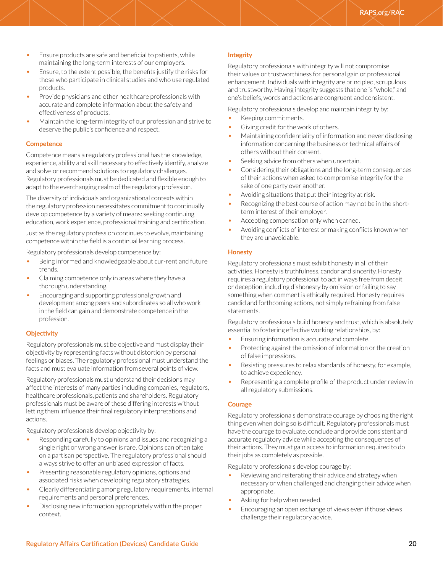- Ensure products are safe and beneficial to patients, while maintaining the long-term interests of our employers.
- Ensure, to the extent possible, the benefits justify the risks for those who participate in clinical studies and who use regulated products.
- Provide physicians and other healthcare professionals with accurate and complete information about the safety and effectiveness of products.
- Maintain the long-term integrity of our profession and strive to deserve the public's confidence and respect.

#### **Competence**

Competence means a regulatory professional has the knowledge, experience, ability and skill necessary to effectively identify, analyze and solve or recommend solutions to regulatory challenges. Regulatory professionals must be dedicated and flexible enough to adapt to the everchanging realm of the regulatory profession.

The diversity of individuals and organizational contexts within the regulatory profession necessitates commitment to continually develop competence by a variety of means: seeking continuing education, work experience, professional training and certification.

Just as the regulatory profession continues to evolve, maintaining competence within the field is a continual learning process.

Regulatory professionals develop competence by:

- Being informed and knowledgeable about cur-rent and future trends.
- Claiming competence only in areas where they have a thorough understanding.
- Encouraging and supporting professional growth and development among peers and subordinates so all who work in the field can gain and demonstrate competence in the profession.

#### **Objectivity**

Regulatory professionals must be objective and must display their objectivity by representing facts without distortion by personal feelings or biases. The regulatory professional must understand the facts and must evaluate information from several points of view.

Regulatory professionals must understand their decisions may affect the interests of many parties including companies, regulators, healthcare professionals, patients and shareholders. Regulatory professionals must be aware of these differing interests without letting them influence their final regulatory interpretations and actions.

Regulatory professionals develop objectivity by:

- Responding carefully to opinions and issues and recognizing a single right or wrong answer is rare. Opinions can often take on a partisan perspective. The regulatory professional should always strive to offer an unbiased expression of facts.
- Presenting reasonable regulatory opinions, options and associated risks when developing regulatory strategies.
- Clearly differentiating among regulatory requirements, internal requirements and personal preferences.
- Disclosing new information appropriately within the proper context.

#### **Integrity**

Regulatory professionals with integrity will not compromise their values or trustworthiness for personal gain or professional enhancement. Individuals with integrity are principled, scrupulous and trustworthy. Having integrity suggests that one is "whole," and one's beliefs, words and actions are congruent and consistent.

Regulatory professionals develop and maintain integrity by:

- Keeping commitments.
- Giving credit for the work of others.
- Maintaining confidentiality of information and never disclosing information concerning the business or technical affairs of others without their consent.
- Seeking advice from others when uncertain.
- Considering their obligations and the long-term consequences of their actions when asked to compromise integrity for the sake of one party over another.
- Avoiding situations that put their integrity at risk.
- Recognizing the best course of action may not be in the shortterm interest of their employer.
- Accepting compensation only when earned.
- Avoiding conflicts of interest or making conflicts known when they are unavoidable.

#### **Honesty**

Regulatory professionals must exhibit honesty in all of their activities. Honesty is truthfulness, candor and sincerity. Honesty requires a regulatory professional to act in ways free from deceit or deception, including dishonesty by omission or failing to say something when comment is ethically required. Honesty requires candid and forthcoming actions, not simply refraining from false statements.

Regulatory professionals build honesty and trust, which is absolutely essential to fostering effective working relationships, by:

- Ensuring information is accurate and complete.
- Protecting against the omission of information or the creation of false impressions.
- Resisting pressures to relax standards of honesty, for example, to achieve expediency.
- Representing a complete profile of the product under review in all regulatory submissions.

#### **Courage**

Regulatory professionals demonstrate courage by choosing the right thing even when doing so is difficult. Regulatory professionals must have the courage to evaluate, conclude and provide consistent and accurate regulatory advice while accepting the consequences of their actions. They must gain access to information required to do their jobs as completely as possible.

Regulatory professionals develop courage by:

- Reviewing and reiterating their advice and strategy when necessary or when challenged and changing their advice when appropriate.
- Asking for help when needed.
- Encouraging an open exchange of views even if those views challenge their regulatory advice.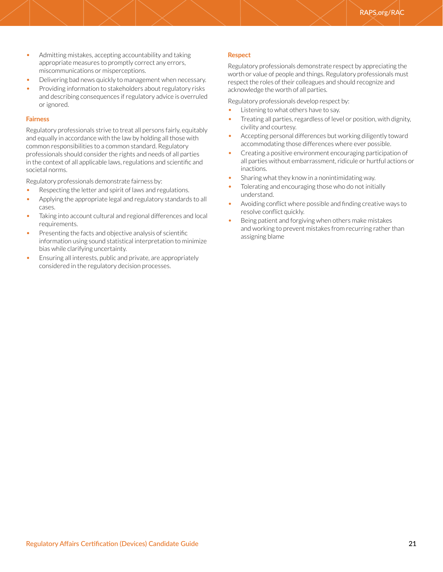- Admitting mistakes, accepting accountability and taking appropriate measures to promptly correct any errors, miscommunications or misperceptions.
- Delivering bad news quickly to management when necessary.
- Providing information to stakeholders about regulatory risks and describing consequences if regulatory advice is overruled or ignored.

#### **Fairness**

Regulatory professionals strive to treat all persons fairly, equitably and equally in accordance with the law by holding all those with common responsibilities to a common standard. Regulatory professionals should consider the rights and needs of all parties in the context of all applicable laws, regulations and scientific and societal norms.

Regulatory professionals demonstrate fairness by:

- Respecting the letter and spirit of laws and regulations.
- Applying the appropriate legal and regulatory standards to all cases.
- Taking into account cultural and regional differences and local requirements.
- Presenting the facts and objective analysis of scientific information using sound statistical interpretation to minimize bias while clarifying uncertainty.
- Ensuring all interests, public and private, are appropriately considered in the regulatory decision processes.

#### **Respect**

Regulatory professionals demonstrate respect by appreciating the worth or value of people and things. Regulatory professionals must respect the roles of their colleagues and should recognize and acknowledge the worth of all parties.

Regulatory professionals develop respect by:

- Listening to what others have to say.
- Treating all parties, regardless of level or position, with dignity, civility and courtesy.
- Accepting personal differences but working diligently toward accommodating those differences where ever possible.
- Creating a positive environment encouraging participation of all parties without embarrassment, ridicule or hurtful actions or inactions.
- Sharing what they know in a nonintimidating way.
- Tolerating and encouraging those who do not initially understand.
- Avoiding conflict where possible and finding creative ways to resolve conflict quickly.
- Being patient and forgiving when others make mistakes and working to prevent mistakes from recurring rather than assigning blame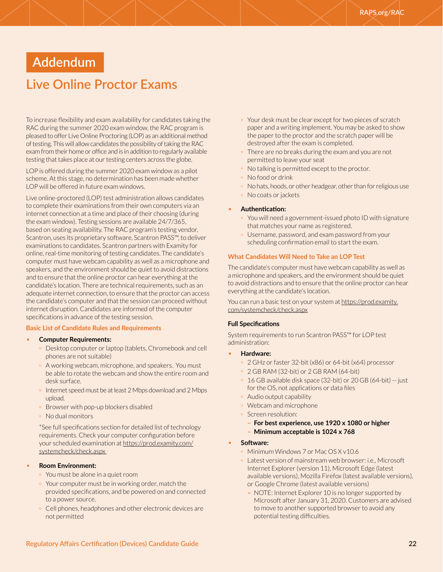# <span id="page-21-0"></span>**Addendum**

# **Live Online Proctor Exams**

To increase flexibility and exam availability for candidates taking the RAC during the summer 2020 exam window, the RAC program is pleased to offer Live Online Proctoring (LOP) as an additional method of testing. This will allow candidates the possibility of taking the RAC exam from their home or office and is in addition to regularly available testing that takes place at our testing centers across the globe.

LOP is offered during the summer 2020 exam window as a pilot scheme. At this stage, no determination has been made whether LOP will be offered in future exam windows.

Live online-proctored (LOP) test administration allows candidates to complete their examinations from their own computers via an internet connection at a time and place of their choosing (during the exam window). Testing sessions are available 24/7/365, based on seating availability. The RAC program's testing vendor, Scantron, uses its proprietary software, Scantron PASS™, to deliver examinations to candidates. Scantron partners with Examity for online, real-time monitoring of testing candidates. The candidate's computer must have webcam capability as well as a microphone and speakers, and the environment should be quiet to avoid distractions and to ensure that the online proctor can hear everything at the candidate's location. There are technical requirements, such as an adequate internet connection, to ensure that the proctor can access the candidate's computer and that the session can proceed without internet disruption. Candidates are informed of the computer specifications in advance of the testing session.

#### **Basic List of Candidate Rules and Requirements**

- **Computer Requirements:**
	- º Desktop computer or laptop (tablets, Chromebook and cell phones are not suitable)
	- <sup>o</sup> A working webcam, microphone, and speakers. You must be able to rotate the webcam and show the entire room and desk surface.
	- º Internet speed must be at least 2 Mbps download and 2 Mbps upload.
	- º Browser with pop-up blockers disabled
	- º No dual monitors

\*See full specifications section for detailed list of technology requirements. Check your computer configuration before your scheduled examination at [https://prod.examity.com/](https://prod.examity.com/systemcheck/check.aspx ) [systemcheck/check.aspx](https://prod.examity.com/systemcheck/check.aspx ) 

#### • **Room Environment:**

- º You must be alone in a quiet room
- º Your computer must be in working order, match the provided specifications, and be powered on and connected to a power source.
- º Cell phones, headphones and other electronic devices are not permitted
- º Your desk must be clear except for two pieces of scratch paper and a writing implement. You may be asked to show the paper to the proctor and the scratch paper will be destroyed after the exam is completed.
- º There are no breaks during the exam and you are not permitted to leave your seat
- º No talking is permitted except to the proctor.
- º No food or drink
- <sup>o</sup> No hats, hoods, or other headgear, other than for religious use
- º No coats or jackets
- **Authentication:**
	- º You will need a government-issued photo ID with signature that matches your name as registered.
	- º Username, password, and exam password from your scheduling confirmation email to start the exam.

#### **What Candidates Will Need to Take an LOP Test**

The candidate's computer must have webcam capability as well as a microphone and speakers, and the environment should be quiet to avoid distractions and to ensure that the online proctor can hear everything at the candidate's location.

You can run a basic test on your system at [https://prod.examity.](https://prod.examity.com/systemcheck/check.aspx) [com/systemcheck/check.aspx](https://prod.examity.com/systemcheck/check.aspx)

#### **Full Specifications**

System requirements to run Scantron PASS™ for LOP test administration:

- **Hardware:**
	- º 2 GHz or faster 32-bit (x86) or 64-bit (x64) processor
	- º 2 GB RAM (32-bit) or 2 GB RAM (64-bit)
	- º 16 GB available disk space (32-bit) or 20 GB (64-bit) -- just for the OS, not applications or data files
	- º Audio output capability
	- º Webcam and microphone
	- º Screen resolution:
		- **– For best experience, use 1920 x 1080 or higher – Minimum acceptable is 1024 x 768**

#### • **Software:**

- º Minimum Windows 7 or Mac OS X v10.6
- º Latest version of mainstream web browser: i.e., Microsoft Internet Explorer (version 11), Microsoft Edge (latest available versions), Mozilla Firefox (latest available versions), or Google Chrome (latest available versions)
	- **–** NOTE: Internet Explorer 10 is no longer supported by Microsoft after January 31, 2020. Customers are advised to move to another supported browser to avoid any potential testing difficulties.